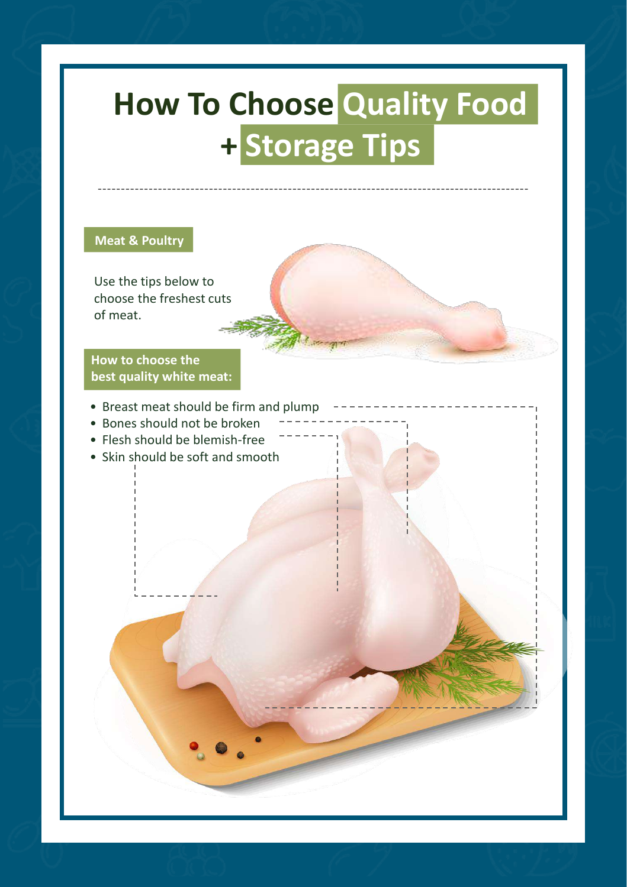# **Science of Spices: Turmeric How To Choose Quality Food + Storage Tips**

# **Meat & Poultry**

Use the tips below to choose the freshest cuts of meat.

# **How to choose the best quality white meat:**

- Breast meat should be firm and plump
- Bones should not be broken
- Flesh should be blemish-free
- Skin should be soft and smooth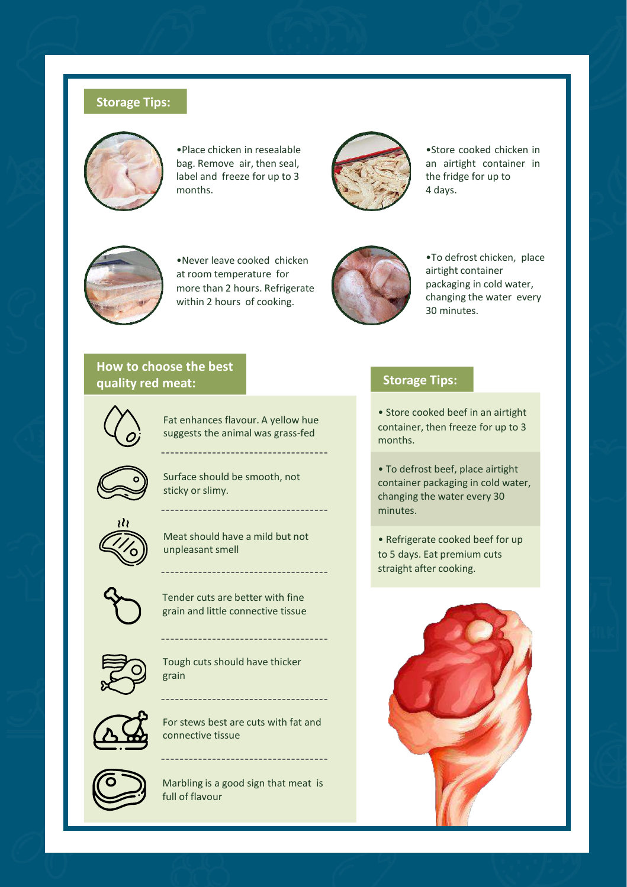## **Storage Tips:**



•Place chicken in resealable bag. Remove air, then seal, label and freeze for up to 3 months.



•Store cooked chicken in an airtight container in the fridge for up to 4 days.



•Never leave cooked chicken at room temperature for more than 2 hours. Refrigerate within 2 hours of cooking.



•To defrost chicken, place airtight container packaging in cold water, changing the water every 30 minutes.

# **How to choose the best quality red meat:**



Fat enhances flavour. A yellow hue suggests the animal was grass-fed

--------------------------------

---------------------------



Surface should be smooth, not sticky or slimy.



Meat should have a mild but not unpleasant smell



Tender cuts are better with fine grain and little connective tissue



Tough cuts should have thicker grain

----------------------------



For stews best are cuts with fat and connective tissue



Marbling is a good sign that meat is full of flavour

----------------------------------

# **Storage Tips:**

• Store cooked beef in an airtight container, then freeze for up to 3 months.

• To defrost beef, place airtight container packaging in cold water, changing the water every 30 minutes.

• Refrigerate cooked beef for up to 5 days. Eat premium cuts straight after cooking.

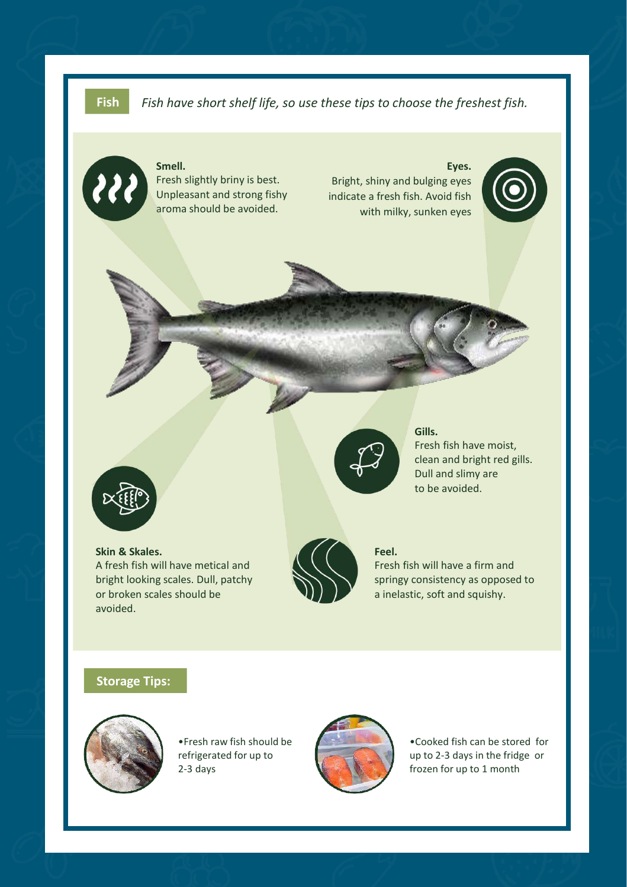**Fish** *Fish have short shelf life, so use these tips to choose the freshest fish.*



#### **Smell.** Fresh slightly briny is best. Unpleasant and strong fishy aroma should be avoided.

**Eyes.** Bright, shiny and bulging eyes indicate a fresh fish. Avoid fish with milky, sunken eyes





### **Skin & Skales.** A fresh fish will have metical and bright looking scales. Dull, patchy or broken scales should be avoided.



#### **Gills.**

Fresh fish have moist, clean and bright red gills. Dull and slimy are to be avoided.

#### **Feel.**

Fresh fish will have a firm and springy consistency as opposed to a inelastic, soft and squishy.

### **Storage Tips:**



•Fresh raw fish should be refrigerated for up to 2-3 days



•Cooked fish can be stored for up to 2-3 days in the fridge or frozen for up to 1 month